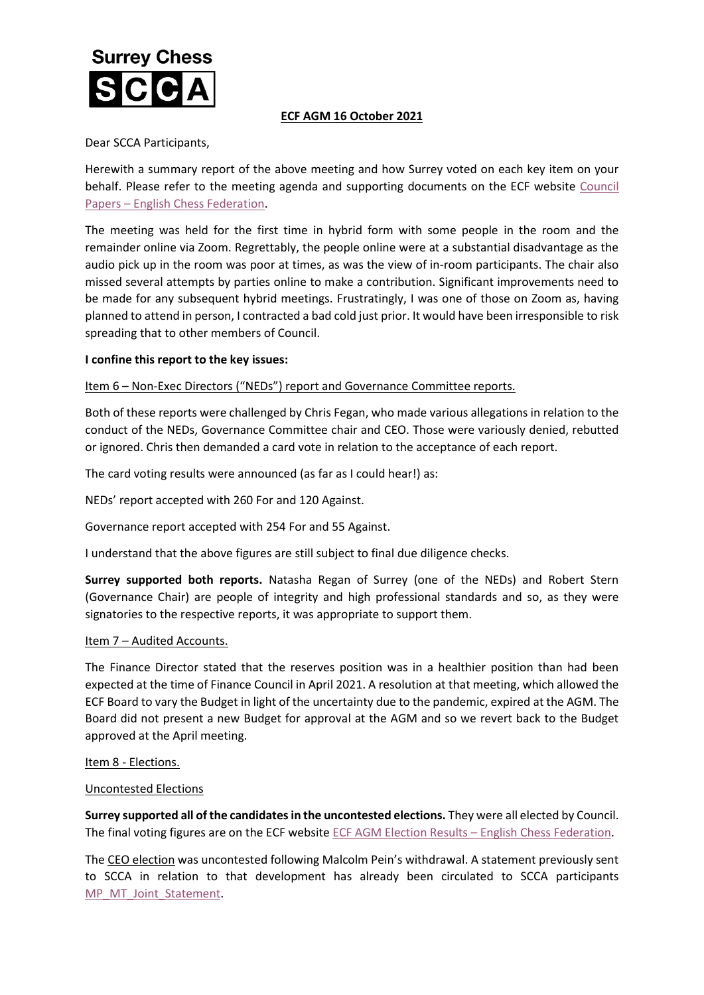# **Surrey Chess**

# **ECF AGM 16 October 2021**

Dear SCCA Participants,

Herewith a summary report of the above meeting and how Surrey voted on each key item on your behalf. Please refer to the meeting agenda and supporting documents on the ECF website Council Papers – [English Chess Federation.](https://www.englishchess.org.uk/about/ecf-council-and-board/)

The meeting was held for the first time in hybrid form with some people in the room and the remainder online via Zoom. Regrettably, the people online were at a substantial disadvantage as the audio pick up in the room was poor at times, as was the view of in-room participants. The chair also missed several attempts by parties online to make a contribution. Significant improvements need to be made for any subsequent hybrid meetings. Frustratingly, I was one of those on Zoom as, having planned to attend in person, I contracted a bad cold just prior. It would have been irresponsible to risk spreading that to other members of Council.

# **I confine this report to the key issues:**

# Item 6 – Non-Exec Directors ("NEDs") report and Governance Committee reports.

Both of these reports were challenged by Chris Fegan, who made various allegations in relation to the conduct of the NEDs, Governance Committee chair and CEO. Those were variously denied, rebutted or ignored. Chris then demanded a card vote in relation to the acceptance of each report.

The card voting results were announced (as far as I could hear!) as:

NEDs' report accepted with 260 For and 120 Against.

Governance report accepted with 254 For and 55 Against.

I understand that the above figures are still subject to final due diligence checks.

**Surrey supported both reports.** Natasha Regan of Surrey (one of the NEDs) and Robert Stern (Governance Chair) are people of integrity and high professional standards and so, as they were signatories to the respective reports, it was appropriate to support them.

#### Item 7 - Audited Accounts.

The Finance Director stated that the reserves position was in a healthier position than had been expected at the time of Finance Council in April 2021. A resolution at that meeting, which allowed the ECF Board to vary the Budget in light of the uncertainty due to the pandemic, expired at the AGM. The Board did not present a new Budget for approval at the AGM and so we revert back to the Budget approved at the April meeting.

#### Item 8 - Elections.

#### Uncontested Elections

**Surrey supported all of the candidates in the uncontested elections.** They were all elected by Council. The final voting figures are on the ECF website [ECF AGM Election Results](https://www.englishchess.org.uk/ecf-agm-election-results/) - English Chess Federation.

The CEO election was uncontested following Malcolm Pein's withdrawal. A statement previously sent to SCCA in relation to that development has already been circulated to SCCA participants [MP\\_MT\\_Joint\\_Statement.](http://www.scca.co.uk/SCCA/docs/MP_MT_Joint_Statement-1.pdf)